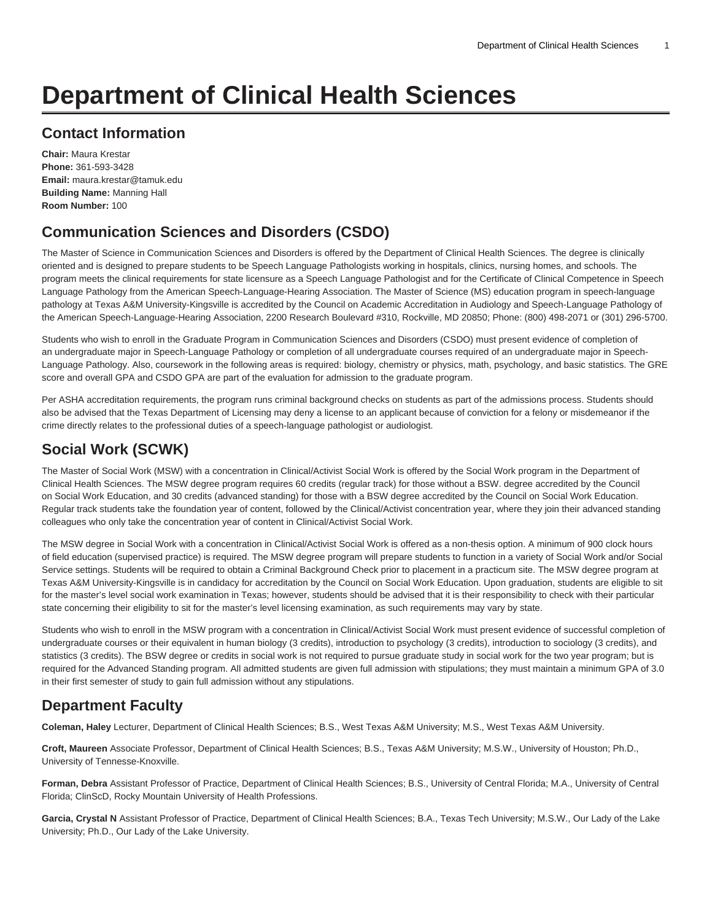# **Department of Clinical Health Sciences**

# **Contact Information**

**Chair:** Maura Krestar **Phone:** 361-593-3428 **Email:** [maura.krestar@tamuk.edu](mailto:maura.krestar@tamuk.edu) **Building Name:** Manning Hall **Room Number:** 100

# **Communication Sciences and Disorders (CSDO)**

The Master of Science in Communication Sciences and Disorders is offered by the Department of Clinical Health Sciences. The degree is clinically oriented and is designed to prepare students to be Speech Language Pathologists working in hospitals, clinics, nursing homes, and schools. The program meets the clinical requirements for state licensure as a Speech Language Pathologist and for the Certificate of Clinical Competence in Speech Language Pathology from the American Speech-Language-Hearing Association. The Master of Science (MS) education program in speech-language pathology at Texas A&M University-Kingsville is accredited by the Council on Academic Accreditation in Audiology and Speech-Language Pathology of the American Speech-Language-Hearing Association, 2200 Research Boulevard #310, Rockville, MD 20850; Phone: (800) 498-2071 or (301) 296-5700.

Students who wish to enroll in the Graduate Program in Communication Sciences and Disorders (CSDO) must present evidence of completion of an undergraduate major in Speech-Language Pathology or completion of all undergraduate courses required of an undergraduate major in Speech-Language Pathology. Also, coursework in the following areas is required: biology, chemistry or physics, math, psychology, and basic statistics. The GRE score and overall GPA and CSDO GPA are part of the evaluation for admission to the graduate program.

Per ASHA accreditation requirements, the program runs criminal background checks on students as part of the admissions process. Students should also be advised that the Texas Department of Licensing may deny a license to an applicant because of conviction for a felony or misdemeanor if the crime directly relates to the professional duties of a speech-language pathologist or audiologist.

# **Social Work (SCWK)**

The Master of Social Work (MSW) with a concentration in Clinical/Activist Social Work is offered by the Social Work program in the Department of Clinical Health Sciences. The MSW degree program requires 60 credits (regular track) for those without a BSW. degree accredited by the Council on Social Work Education, and 30 credits (advanced standing) for those with a BSW degree accredited by the Council on Social Work Education. Regular track students take the foundation year of content, followed by the Clinical/Activist concentration year, where they join their advanced standing colleagues who only take the concentration year of content in Clinical/Activist Social Work.

The MSW degree in Social Work with a concentration in Clinical/Activist Social Work is offered as a non-thesis option. A minimum of 900 clock hours of field education (supervised practice) is required. The MSW degree program will prepare students to function in a variety of Social Work and/or Social Service settings. Students will be required to obtain a Criminal Background Check prior to placement in a practicum site. The MSW degree program at Texas A&M University-Kingsville is in candidacy for accreditation by the Council on Social Work Education. Upon graduation, students are eligible to sit for the master's level social work examination in Texas; however, students should be advised that it is their responsibility to check with their particular state concerning their eligibility to sit for the master's level licensing examination, as such requirements may vary by state.

Students who wish to enroll in the MSW program with a concentration in Clinical/Activist Social Work must present evidence of successful completion of undergraduate courses or their equivalent in human biology (3 credits), introduction to psychology (3 credits), introduction to sociology (3 credits), and statistics (3 credits). The BSW degree or credits in social work is not required to pursue graduate study in social work for the two year program; but is required for the Advanced Standing program. All admitted students are given full admission with stipulations; they must maintain a minimum GPA of 3.0 in their first semester of study to gain full admission without any stipulations.

# **Department Faculty**

**Coleman, Haley** Lecturer, Department of Clinical Health Sciences; B.S., West Texas A&M University; M.S., West Texas A&M University.

**Croft, Maureen** Associate Professor, Department of Clinical Health Sciences; B.S., Texas A&M University; M.S.W., University of Houston; Ph.D., University of Tennesse-Knoxville.

**Forman, Debra** Assistant Professor of Practice, Department of Clinical Health Sciences; B.S., University of Central Florida; M.A., University of Central Florida; ClinScD, Rocky Mountain University of Health Professions.

Garcia, Crystal N Assistant Professor of Practice, Department of Clinical Health Sciences; B.A., Texas Tech University; M.S.W., Our Lady of the Lake University; Ph.D., Our Lady of the Lake University.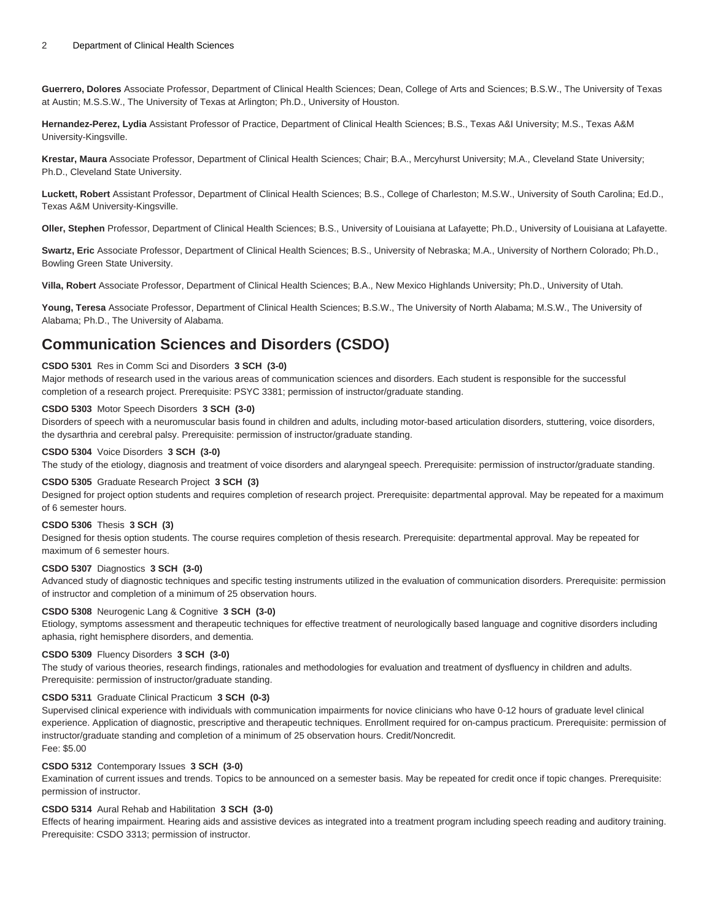**Guerrero, Dolores** Associate Professor, Department of Clinical Health Sciences; Dean, College of Arts and Sciences; B.S.W., The University of Texas at Austin; M.S.S.W., The University of Texas at Arlington; Ph.D., University of Houston.

**Hernandez-Perez, Lydia** Assistant Professor of Practice, Department of Clinical Health Sciences; B.S., Texas A&I University; M.S., Texas A&M University-Kingsville.

**Krestar, Maura** Associate Professor, Department of Clinical Health Sciences; Chair; B.A., Mercyhurst University; M.A., Cleveland State University; Ph.D., Cleveland State University.

**Luckett, Robert** Assistant Professor, Department of Clinical Health Sciences; B.S., College of Charleston; M.S.W., University of South Carolina; Ed.D., Texas A&M University-Kingsville.

**Oller, Stephen** Professor, Department of Clinical Health Sciences; B.S., University of Louisiana at Lafayette; Ph.D., University of Louisiana at Lafayette.

**Swartz, Eric** Associate Professor, Department of Clinical Health Sciences; B.S., University of Nebraska; M.A., University of Northern Colorado; Ph.D., Bowling Green State University.

**Villa, Robert** Associate Professor, Department of Clinical Health Sciences; B.A., New Mexico Highlands University; Ph.D., University of Utah.

**Young, Teresa** Associate Professor, Department of Clinical Health Sciences; B.S.W., The University of North Alabama; M.S.W., The University of Alabama; Ph.D., The University of Alabama.

### **Communication Sciences and Disorders (CSDO)**

#### **CSDO 5301** Res in Comm Sci and Disorders **3 SCH (3-0)**

Major methods of research used in the various areas of communication sciences and disorders. Each student is responsible for the successful completion of a research project. Prerequisite: PSYC 3381; permission of instructor/graduate standing.

#### **CSDO 5303** Motor Speech Disorders **3 SCH (3-0)**

Disorders of speech with a neuromuscular basis found in children and adults, including motor-based articulation disorders, stuttering, voice disorders, the dysarthria and cerebral palsy. Prerequisite: permission of instructor/graduate standing.

#### **CSDO 5304** Voice Disorders **3 SCH (3-0)**

The study of the etiology, diagnosis and treatment of voice disorders and alaryngeal speech. Prerequisite: permission of instructor/graduate standing.

#### **CSDO 5305** Graduate Research Project **3 SCH (3)**

Designed for project option students and requires completion of research project. Prerequisite: departmental approval. May be repeated for a maximum of 6 semester hours.

#### **CSDO 5306** Thesis **3 SCH (3)**

Designed for thesis option students. The course requires completion of thesis research. Prerequisite: departmental approval. May be repeated for maximum of 6 semester hours.

#### **CSDO 5307** Diagnostics **3 SCH (3-0)**

Advanced study of diagnostic techniques and specific testing instruments utilized in the evaluation of communication disorders. Prerequisite: permission of instructor and completion of a minimum of 25 observation hours.

#### **CSDO 5308** Neurogenic Lang & Cognitive **3 SCH (3-0)**

Etiology, symptoms assessment and therapeutic techniques for effective treatment of neurologically based language and cognitive disorders including aphasia, right hemisphere disorders, and dementia.

#### **CSDO 5309** Fluency Disorders **3 SCH (3-0)**

The study of various theories, research findings, rationales and methodologies for evaluation and treatment of dysfluency in children and adults. Prerequisite: permission of instructor/graduate standing.

#### **CSDO 5311** Graduate Clinical Practicum **3 SCH (0-3)**

Supervised clinical experience with individuals with communication impairments for novice clinicians who have 0-12 hours of graduate level clinical experience. Application of diagnostic, prescriptive and therapeutic techniques. Enrollment required for on-campus practicum. Prerequisite: permission of instructor/graduate standing and completion of a minimum of 25 observation hours. Credit/Noncredit. Fee: \$5.00

#### **CSDO 5312** Contemporary Issues **3 SCH (3-0)**

Examination of current issues and trends. Topics to be announced on a semester basis. May be repeated for credit once if topic changes. Prerequisite: permission of instructor.

#### **CSDO 5314** Aural Rehab and Habilitation **3 SCH (3-0)**

Effects of hearing impairment. Hearing aids and assistive devices as integrated into a treatment program including speech reading and auditory training. Prerequisite: CSDO 3313; permission of instructor.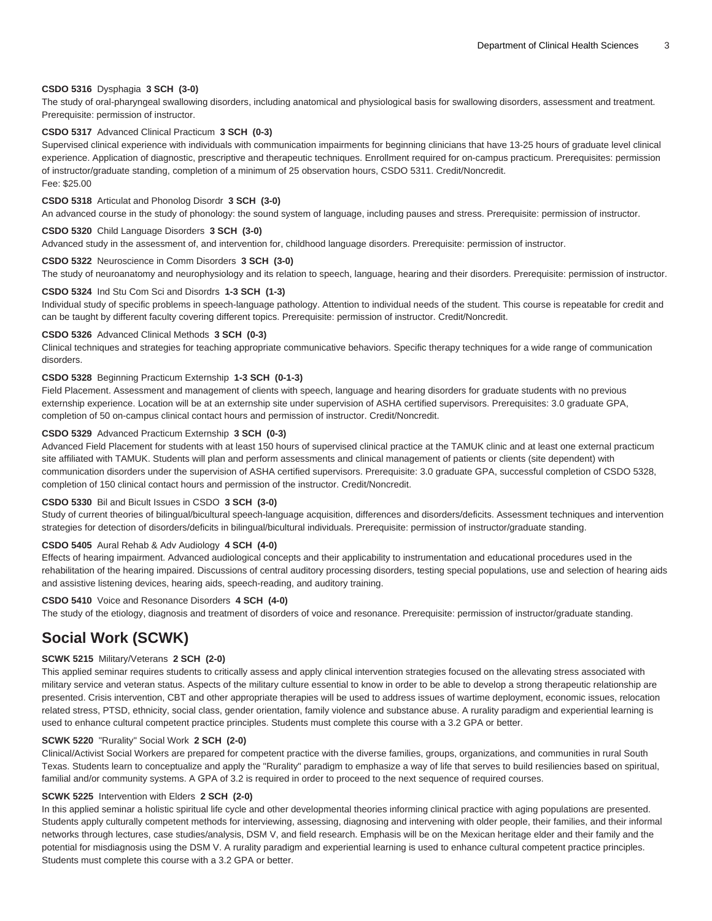#### **CSDO 5316** Dysphagia **3 SCH (3-0)**

The study of oral-pharyngeal swallowing disorders, including anatomical and physiological basis for swallowing disorders, assessment and treatment. Prerequisite: permission of instructor.

#### **CSDO 5317** Advanced Clinical Practicum **3 SCH (0-3)**

Supervised clinical experience with individuals with communication impairments for beginning clinicians that have 13-25 hours of graduate level clinical experience. Application of diagnostic, prescriptive and therapeutic techniques. Enrollment required for on-campus practicum. Prerequisites: permission of instructor/graduate standing, completion of a minimum of 25 observation hours, CSDO 5311. Credit/Noncredit. Fee: \$25.00

#### **CSDO 5318** Articulat and Phonolog Disordr **3 SCH (3-0)**

An advanced course in the study of phonology: the sound system of language, including pauses and stress. Prerequisite: permission of instructor.

#### **CSDO 5320** Child Language Disorders **3 SCH (3-0)**

Advanced study in the assessment of, and intervention for, childhood language disorders. Prerequisite: permission of instructor.

#### **CSDO 5322** Neuroscience in Comm Disorders **3 SCH (3-0)**

The study of neuroanatomy and neurophysiology and its relation to speech, language, hearing and their disorders. Prerequisite: permission of instructor.

#### **CSDO 5324** Ind Stu Com Sci and Disordrs **1-3 SCH (1-3)**

Individual study of specific problems in speech-language pathology. Attention to individual needs of the student. This course is repeatable for credit and can be taught by different faculty covering different topics. Prerequisite: permission of instructor. Credit/Noncredit.

#### **CSDO 5326** Advanced Clinical Methods **3 SCH (0-3)**

Clinical techniques and strategies for teaching appropriate communicative behaviors. Specific therapy techniques for a wide range of communication disorders.

#### **CSDO 5328** Beginning Practicum Externship **1-3 SCH (0-1-3)**

Field Placement. Assessment and management of clients with speech, language and hearing disorders for graduate students with no previous externship experience. Location will be at an externship site under supervision of ASHA certified supervisors. Prerequisites: 3.0 graduate GPA, completion of 50 on-campus clinical contact hours and permission of instructor. Credit/Noncredit.

#### **CSDO 5329** Advanced Practicum Externship **3 SCH (0-3)**

Advanced Field Placement for students with at least 150 hours of supervised clinical practice at the TAMUK clinic and at least one external practicum site affiliated with TAMUK. Students will plan and perform assessments and clinical management of patients or clients (site dependent) with communication disorders under the supervision of ASHA certified supervisors. Prerequisite: 3.0 graduate GPA, successful completion of CSDO 5328, completion of 150 clinical contact hours and permission of the instructor. Credit/Noncredit.

#### **CSDO 5330** Bil and Bicult Issues in CSDO **3 SCH (3-0)**

Study of current theories of bilingual/bicultural speech-language acquisition, differences and disorders/deficits. Assessment techniques and intervention strategies for detection of disorders/deficits in bilingual/bicultural individuals. Prerequisite: permission of instructor/graduate standing.

#### **CSDO 5405** Aural Rehab & Adv Audiology **4 SCH (4-0)**

Effects of hearing impairment. Advanced audiological concepts and their applicability to instrumentation and educational procedures used in the rehabilitation of the hearing impaired. Discussions of central auditory processing disorders, testing special populations, use and selection of hearing aids and assistive listening devices, hearing aids, speech-reading, and auditory training.

#### **CSDO 5410** Voice and Resonance Disorders **4 SCH (4-0)**

The study of the etiology, diagnosis and treatment of disorders of voice and resonance. Prerequisite: permission of instructor/graduate standing.

### **Social Work (SCWK)**

#### **SCWK 5215** Military/Veterans **2 SCH (2-0)**

This applied seminar requires students to critically assess and apply clinical intervention strategies focused on the allevating stress associated with military service and veteran status. Aspects of the military culture essential to know in order to be able to develop a strong therapeutic relationship are presented. Crisis intervention, CBT and other appropriate therapies will be used to address issues of wartime deployment, economic issues, relocation related stress, PTSD, ethnicity, social class, gender orientation, family violence and substance abuse. A rurality paradigm and experiential learning is used to enhance cultural competent practice principles. Students must complete this course with a 3.2 GPA or better.

#### **SCWK 5220** "Rurality" Social Work **2 SCH (2-0)**

Clinical/Activist Social Workers are prepared for competent practice with the diverse families, groups, organizations, and communities in rural South Texas. Students learn to conceptualize and apply the "Rurality" paradigm to emphasize a way of life that serves to build resiliencies based on spiritual, familial and/or community systems. A GPA of 3.2 is required in order to proceed to the next sequence of required courses.

#### **SCWK 5225** Intervention with Elders **2 SCH (2-0)**

In this applied seminar a holistic spiritual life cycle and other developmental theories informing clinical practice with aging populations are presented. Students apply culturally competent methods for interviewing, assessing, diagnosing and intervening with older people, their families, and their informal networks through lectures, case studies/analysis, DSM V, and field research. Emphasis will be on the Mexican heritage elder and their family and the potential for misdiagnosis using the DSM V. A rurality paradigm and experiential learning is used to enhance cultural competent practice principles. Students must complete this course with a 3.2 GPA or better.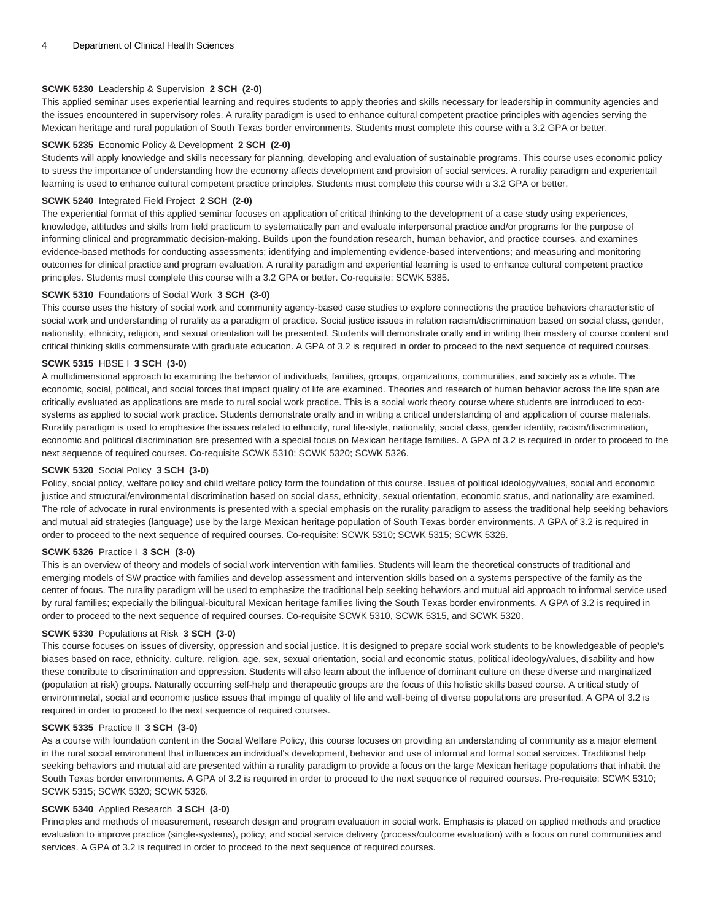#### **SCWK 5230** Leadership & Supervision **2 SCH (2-0)**

This applied seminar uses experiential learning and requires students to apply theories and skills necessary for leadership in community agencies and the issues encountered in supervisory roles. A rurality paradigm is used to enhance cultural competent practice principles with agencies serving the Mexican heritage and rural population of South Texas border environments. Students must complete this course with a 3.2 GPA or better.

#### **SCWK 5235** Economic Policy & Development **2 SCH (2-0)**

Students will apply knowledge and skills necessary for planning, developing and evaluation of sustainable programs. This course uses economic policy to stress the importance of understanding how the economy affects development and provision of social services. A rurality paradigm and experientail learning is used to enhance cultural competent practice principles. Students must complete this course with a 3.2 GPA or better.

#### **SCWK 5240** Integrated Field Project **2 SCH (2-0)**

The experiential format of this applied seminar focuses on application of critical thinking to the development of a case study using experiences, knowledge, attitudes and skills from field practicum to systematically pan and evaluate interpersonal practice and/or programs for the purpose of informing clinical and programmatic decision-making. Builds upon the foundation research, human behavior, and practice courses, and examines evidence-based methods for conducting assessments; identifying and implementing evidence-based interventions; and measuring and monitoring outcomes for clinical practice and program evaluation. A rurality paradigm and experiential learning is used to enhance cultural competent practice principles. Students must complete this course with a 3.2 GPA or better. Co-requisite: SCWK 5385.

#### **SCWK 5310** Foundations of Social Work **3 SCH (3-0)**

This course uses the history of social work and community agency-based case studies to explore connections the practice behaviors characteristic of social work and understanding of rurality as a paradigm of practice. Social justice issues in relation racism/discrimination based on social class, gender, nationality, ethnicity, religion, and sexual orientation will be presented. Students will demonstrate orally and in writing their mastery of course content and critical thinking skills commensurate with graduate education. A GPA of 3.2 is required in order to proceed to the next sequence of required courses.

#### **SCWK 5315** HBSE I **3 SCH (3-0)**

A multidimensional approach to examining the behavior of individuals, families, groups, organizations, communities, and society as a whole. The economic, social, political, and social forces that impact quality of life are examined. Theories and research of human behavior across the life span are critically evaluated as applications are made to rural social work practice. This is a social work theory course where students are introduced to ecosystems as applied to social work practice. Students demonstrate orally and in writing a critical understanding of and application of course materials. Rurality paradigm is used to emphasize the issues related to ethnicity, rural life-style, nationality, social class, gender identity, racism/discrimination, economic and political discrimination are presented with a special focus on Mexican heritage families. A GPA of 3.2 is required in order to proceed to the next sequence of required courses. Co-requisite SCWK 5310; SCWK 5320; SCWK 5326.

#### **SCWK 5320** Social Policy **3 SCH (3-0)**

Policy, social policy, welfare policy and child welfare policy form the foundation of this course. Issues of political ideology/values, social and economic justice and structural/environmental discrimination based on social class, ethnicity, sexual orientation, economic status, and nationality are examined. The role of advocate in rural environments is presented with a special emphasis on the rurality paradigm to assess the traditional help seeking behaviors and mutual aid strategies (language) use by the large Mexican heritage population of South Texas border environments. A GPA of 3.2 is required in order to proceed to the next sequence of required courses. Co-requisite: SCWK 5310; SCWK 5315; SCWK 5326.

#### **SCWK 5326** Practice I **3 SCH (3-0)**

This is an overview of theory and models of social work intervention with families. Students will learn the theoretical constructs of traditional and emerging models of SW practice with families and develop assessment and intervention skills based on a systems perspective of the family as the center of focus. The rurality paradigm will be used to emphasize the traditional help seeking behaviors and mutual aid approach to informal service used by rural families; expecially the bilingual-bicultural Mexican heritage families living the South Texas border environments. A GPA of 3.2 is required in order to proceed to the next sequence of required courses. Co-requisite SCWK 5310, SCWK 5315, and SCWK 5320.

#### **SCWK 5330** Populations at Risk **3 SCH (3-0)**

This course focuses on issues of diversity, oppression and social justice. It is designed to prepare social work students to be knowledgeable of people's biases based on race, ethnicity, culture, religion, age, sex, sexual orientation, social and economic status, political ideology/values, disability and how these contribute to discrimination and oppression. Students will also learn about the influence of dominant culture on these diverse and marginalized (population at risk) groups. Naturally occurring self-help and therapeutic groups are the focus of this holistic skills based course. A critical study of environmnetal, social and economic justice issues that impinge of quality of life and well-being of diverse populations are presented. A GPA of 3.2 is required in order to proceed to the next sequence of required courses.

#### **SCWK 5335** Practice II **3 SCH (3-0)**

As a course with foundation content in the Social Welfare Policy, this course focuses on providing an understanding of community as a major element in the rural social environment that influences an individual's development, behavior and use of informal and formal social services. Traditional help seeking behaviors and mutual aid are presented within a rurality paradigm to provide a focus on the large Mexican heritage populations that inhabit the South Texas border environments. A GPA of 3.2 is required in order to proceed to the next sequence of required courses. Pre-requisite: SCWK 5310; SCWK 5315; SCWK 5320; SCWK 5326.

#### **SCWK 5340** Applied Research **3 SCH (3-0)**

Principles and methods of measurement, research design and program evaluation in social work. Emphasis is placed on applied methods and practice evaluation to improve practice (single-systems), policy, and social service delivery (process/outcome evaluation) with a focus on rural communities and services. A GPA of 3.2 is required in order to proceed to the next sequence of required courses.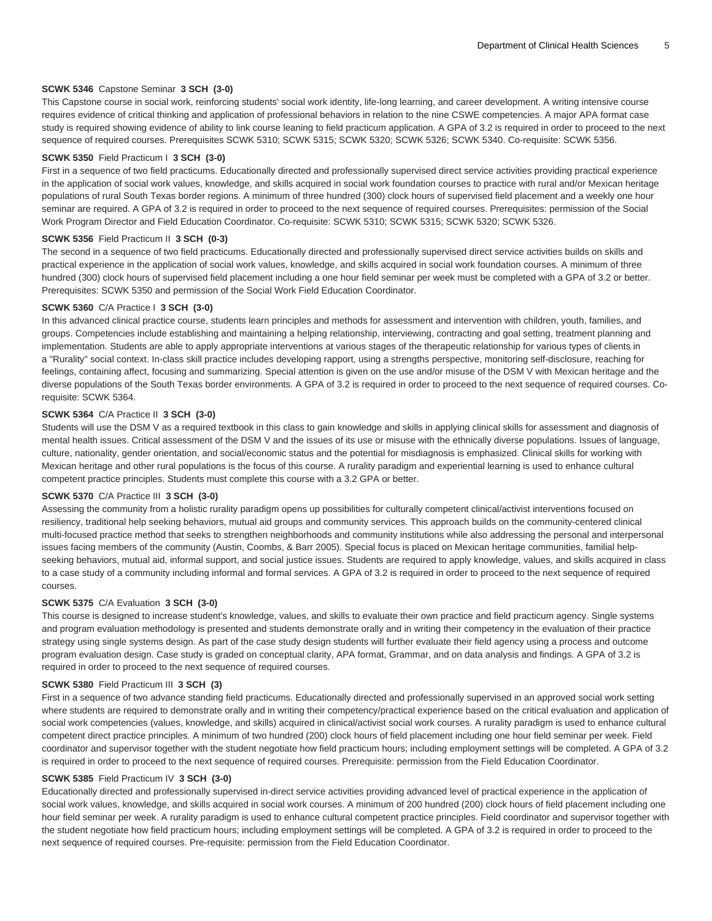#### **SCWK 5346** Capstone Seminar **3 SCH (3-0)**

This Capstone course in social work, reinforcing students' social work identity, life-long learning, and career development. A writing intensive course requires evidence of critical thinking and application of professional behaviors in relation to the nine CSWE competencies. A major APA format case study is required showing evidence of ability to link course leaning to field practicum application. A GPA of 3.2 is required in order to proceed to the next sequence of required courses. Prerequisites SCWK 5310; SCWK 5315; SCWK 5320; SCWK 5326; SCWK 5340. Co-requisite: SCWK 5356.

#### **SCWK 5350** Field Practicum I **3 SCH (3-0)**

First in a sequence of two field practicums. Educationally directed and professionally supervised direct service activities providing practical experience in the application of social work values, knowledge, and skills acquired in social work foundation courses to practice with rural and/or Mexican heritage populations of rural South Texas border regions. A minimum of three hundred (300) clock hours of supervised field placement and a weekly one hour seminar are required. A GPA of 3.2 is required in order to proceed to the next sequence of required courses. Prerequisites: permission of the Social Work Program Director and Field Education Coordinator. Co-requisite: SCWK 5310; SCWK 5315; SCWK 5320; SCWK 5326.

#### **SCWK 5356** Field Practicum II **3 SCH (0-3)**

The second in a sequence of two field practicums. Educationally directed and professionally supervised direct service activities builds on skills and practical experience in the application of social work values, knowledge, and skills acquired in social work foundation courses. A minimum of three hundred (300) clock hours of supervised field placement including a one hour field seminar per week must be completed with a GPA of 3.2 or better. Prerequisites: SCWK 5350 and permission of the Social Work Field Education Coordinator.

#### **SCWK 5360** C/A Practice I **3 SCH (3-0)**

In this advanced clinical practice course, students learn principles and methods for assessment and intervention with children, youth, families, and groups. Competencies include establishing and maintaining a helping relationship, interviewing, contracting and goal setting, treatment planning and implementation. Students are able to apply appropriate interventions at various stages of the therapeutic relationship for various types of clients in a "Rurality" social context. In-class skill practice includes developing rapport, using a strengths perspective, monitoring self-disclosure, reaching for feelings, containing affect, focusing and summarizing. Special attention is given on the use and/or misuse of the DSM V with Mexican heritage and the diverse populations of the South Texas border environments. A GPA of 3.2 is required in order to proceed to the next sequence of required courses. Corequisite: SCWK 5364.

#### **SCWK 5364** C/A Practice II **3 SCH (3-0)**

Students will use the DSM V as a required textbook in this class to gain knowledge and skills in applying clinical skills for assessment and diagnosis of mental health issues. Critical assessment of the DSM V and the issues of its use or misuse with the ethnically diverse populations. Issues of language, culture, nationality, gender orientation, and social/economic status and the potential for misdiagnosis is emphasized. Clinical skills for working with Mexican heritage and other rural populations is the focus of this course. A rurality paradigm and experiential learning is used to enhance cultural competent practice principles. Students must complete this course with a 3.2 GPA or better.

#### **SCWK 5370** C/A Practice III **3 SCH (3-0)**

Assessing the community from a holistic rurality paradigm opens up possibilities for culturally competent clinical/activist interventions focused on resiliency, traditional help seeking behaviors, mutual aid groups and community services. This approach builds on the community-centered clinical multi-focused practice method that seeks to strengthen neighborhoods and community institutions while also addressing the personal and interpersonal issues facing members of the community (Austin, Coombs, & Barr 2005). Special focus is placed on Mexican heritage communities, familial helpseeking behaviors, mutual aid, informal support, and social justice issues. Students are required to apply knowledge, values, and skills acquired in class to a case study of a community including informal and formal services. A GPA of 3.2 is required in order to proceed to the next sequence of required courses.

#### **SCWK 5375** C/A Evaluation **3 SCH (3-0)**

This course is designed to increase student's knowledge, values, and skills to evaluate their own practice and field practicum agency. Single systems and program evaluation methodology is presented and students demonstrate orally and in writing their competency in the evaluation of their practice strategy using single systems design. As part of the case study design students will further evaluate their field agency using a process and outcome program evaluation design. Case study is graded on conceptual clarity, APA format, Grammar, and on data analysis and findings. A GPA of 3.2 is required in order to proceed to the next sequence of required courses.

#### **SCWK 5380** Field Practicum III **3 SCH (3)**

First in a sequence of two advance standing field practicums. Educationally directed and professionally supervised in an approved social work setting where students are required to demonstrate orally and in writing their competency/practical experience based on the critical evaluation and application of social work competencies (values, knowledge, and skills) acquired in clinical/activist social work courses. A rurality paradigm is used to enhance cultural competent direct practice principles. A minimum of two hundred (200) clock hours of field placement including one hour field seminar per week. Field coordinator and supervisor together with the student negotiate how field practicum hours; including employment settings will be completed. A GPA of 3.2 is required in order to proceed to the next sequence of required courses. Prerequisite: permission from the Field Education Coordinator.

#### **SCWK 5385** Field Practicum IV **3 SCH (3-0)**

Educationally directed and professionally supervised in-direct service activities providing advanced level of practical experience in the application of social work values, knowledge, and skills acquired in social work courses. A minimum of 200 hundred (200) clock hours of field placement including one hour field seminar per week. A rurality paradigm is used to enhance cultural competent practice principles. Field coordinator and supervisor together with the student negotiate how field practicum hours; including employment settings will be completed. A GPA of 3.2 is required in order to proceed to the next sequence of required courses. Pre-requisite: permission from the Field Education Coordinator.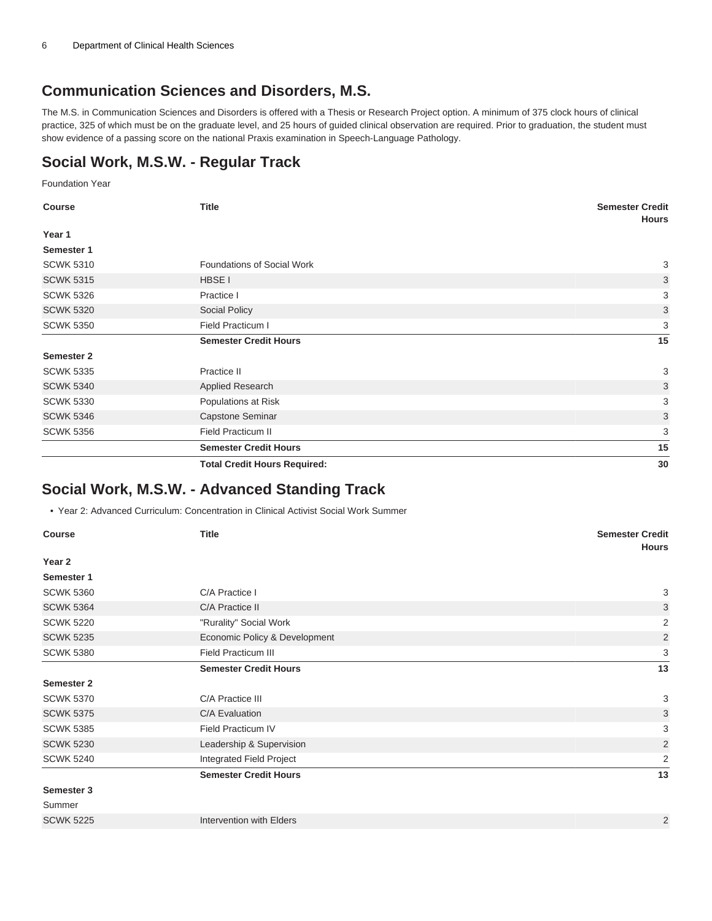### **Communication Sciences and Disorders, M.S.**

The M.S. in Communication Sciences and Disorders is offered with a Thesis or Research Project option. A minimum of 375 clock hours of clinical practice, 325 of which must be on the graduate level, and 25 hours of guided clinical observation are required. Prior to graduation, the student must show evidence of a passing score on the national Praxis examination in Speech-Language Pathology.

## **Social Work, M.S.W. - Regular Track**

Foundation Year

| <b>Course</b>     | <b>Title</b>                        | <b>Semester Credit</b><br><b>Hours</b> |
|-------------------|-------------------------------------|----------------------------------------|
| Year 1            |                                     |                                        |
| Semester 1        |                                     |                                        |
| <b>SCWK 5310</b>  | Foundations of Social Work          | 3                                      |
| <b>SCWK 5315</b>  | HBSE I                              | 3                                      |
| <b>SCWK 5326</b>  | Practice I                          | 3                                      |
| <b>SCWK 5320</b>  | Social Policy                       | 3                                      |
| <b>SCWK 5350</b>  | Field Practicum I                   | 3                                      |
|                   | <b>Semester Credit Hours</b>        | 15                                     |
| <b>Semester 2</b> |                                     |                                        |
| <b>SCWK 5335</b>  | Practice II                         | 3                                      |
| <b>SCWK 5340</b>  | Applied Research                    | 3                                      |
| <b>SCWK 5330</b>  | Populations at Risk                 | 3                                      |
| <b>SCWK 5346</b>  | Capstone Seminar                    | 3                                      |
| <b>SCWK 5356</b>  | <b>Field Practicum II</b>           | 3                                      |
|                   | <b>Semester Credit Hours</b>        | 15                                     |
|                   | <b>Total Credit Hours Required:</b> | 30                                     |

### **Social Work, M.S.W. - Advanced Standing Track**

• Year 2: Advanced Curriculum: Concentration in Clinical Activist Social Work Summer

| <b>Course</b>    | <b>Title</b>                    | <b>Semester Credit</b><br><b>Hours</b> |
|------------------|---------------------------------|----------------------------------------|
| Year 2           |                                 |                                        |
| Semester 1       |                                 |                                        |
| <b>SCWK 5360</b> | C/A Practice I                  | 3                                      |
| <b>SCWK 5364</b> | C/A Practice II                 | 3                                      |
| <b>SCWK 5220</b> | "Rurality" Social Work          | $\overline{2}$                         |
| <b>SCWK 5235</b> | Economic Policy & Development   | $\overline{2}$                         |
| <b>SCWK 5380</b> | <b>Field Practicum III</b>      | 3                                      |
|                  | <b>Semester Credit Hours</b>    | 13                                     |
| Semester 2       |                                 |                                        |
| <b>SCWK 5370</b> | C/A Practice III                | 3                                      |
| <b>SCWK 5375</b> | C/A Evaluation                  | 3                                      |
| <b>SCWK 5385</b> | Field Practicum IV              | 3                                      |
| <b>SCWK 5230</b> | Leadership & Supervision        | 2                                      |
| <b>SCWK 5240</b> | <b>Integrated Field Project</b> | $\overline{2}$                         |
|                  | <b>Semester Credit Hours</b>    | 13                                     |
| Semester 3       |                                 |                                        |
| Summer           |                                 |                                        |
| <b>SCWK 5225</b> | Intervention with Elders        | $\overline{2}$                         |